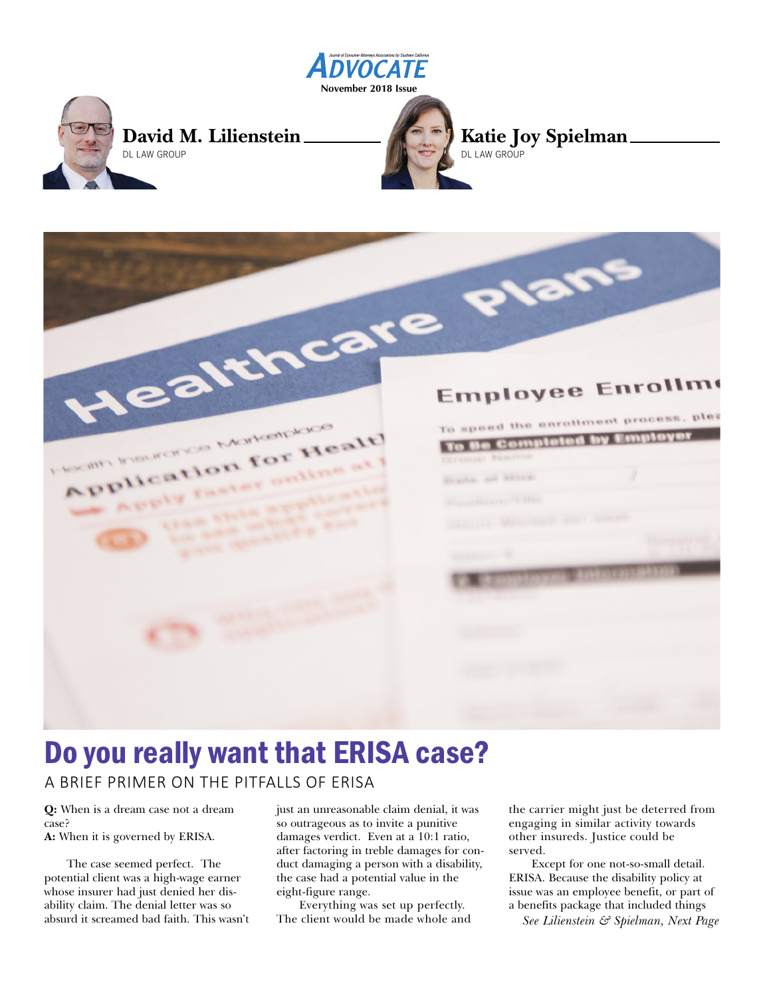

Jealthcare plans

# Do you really want that ERISA case?

A BRIEF PRIMER ON THE PITFALLS OF ERISA

FRIM INDUSTRIAL LANGING

tion for

**Q:** When is a dream case not a dream case?

**A:** When it is governed by ERISA.

The case seemed perfect. The potential client was a high-wage earner whose insurer had just denied her disability claim. The denial letter was so absurd it screamed bad faith. This wasn't just an unreasonable claim denial, it was so outrageous as to invite a punitive damages verdict. Even at a 10:1 ratio, after factoring in treble damages for conduct damaging a person with a disability, the case had a potential value in the eight-figure range.

Everything was set up perfectly. The client would be made whole and the carrier might just be deterred from engaging in similar activity towards other insureds. Justice could be served.

**Employee Enrollme** 

To speed the enrollment process, plea

Except for one not-so-small detail. ERISA. Because the disability policy at issue was an employee benefit, or part of a benefits package that included things

*See Lilienstein & Spielman, Next Page*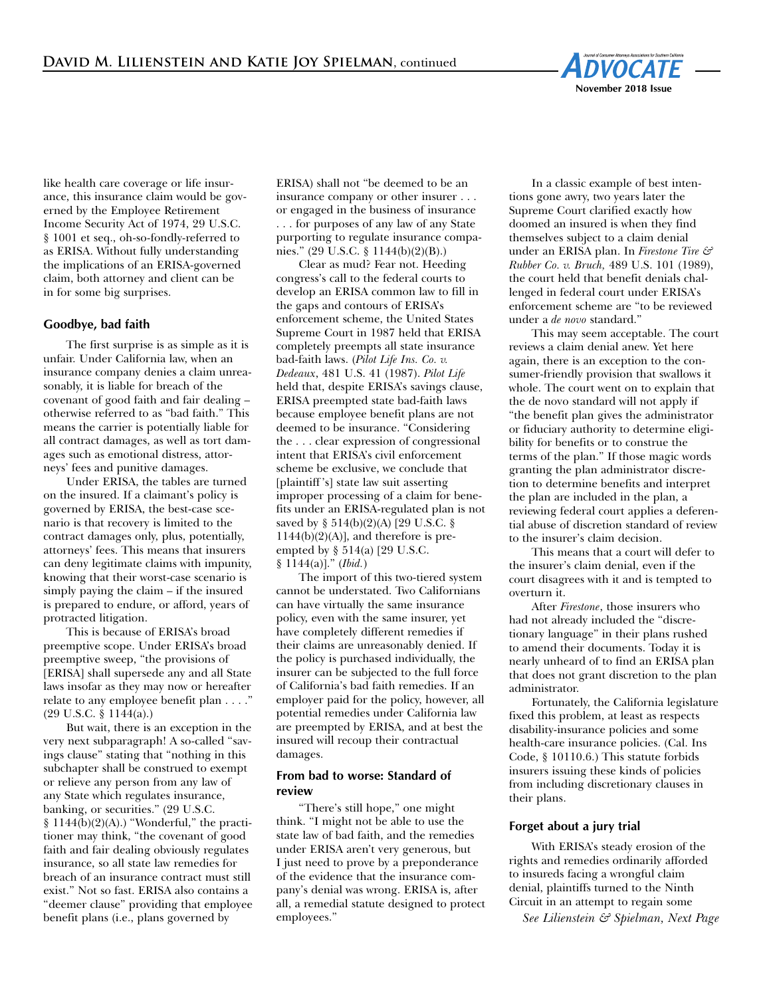

like health care coverage or life insurance, this insurance claim would be governed by the Employee Retirement Income Security Act of 1974, 29 U.S.C. § 1001 et seq., oh-so-fondly-referred to as ERISA. Without fully understanding the implications of an ERISA-governed claim, both attorney and client can be in for some big surprises.

## **Goodbye, bad faith**

The first surprise is as simple as it is unfair. Under California law, when an insurance company denies a claim unreasonably, it is liable for breach of the covenant of good faith and fair dealing – otherwise referred to as "bad faith." This means the carrier is potentially liable for all contract damages, as well as tort damages such as emotional distress, attorneys' fees and punitive damages.

Under ERISA, the tables are turned on the insured. If a claimant's policy is governed by ERISA, the best-case scenario is that recovery is limited to the contract damages only, plus, potentially, attorneys' fees. This means that insurers can deny legitimate claims with impunity, knowing that their worst-case scenario is simply paying the claim – if the insured is prepared to endure, or afford, years of protracted litigation.

This is because of ERISA's broad preemptive scope. Under ERISA's broad preemptive sweep, "the provisions of [ERISA] shall supersede any and all State laws insofar as they may now or hereafter relate to any employee benefit plan . . . ." (29 U.S.C. § 1144(a).)

 But wait, there is an exception in the very next subparagraph! A so-called "savings clause" stating that "nothing in this subchapter shall be construed to exempt or relieve any person from any law of any State which regulates insurance, banking, or securities." (29 U.S.C.  $§ 1144(b)(2)(A).$ ) "Wonderful," the practitioner may think, "the covenant of good faith and fair dealing obviously regulates insurance, so all state law remedies for breach of an insurance contract must still exist." Not so fast. ERISA also contains a "deemer clause" providing that employee benefit plans (i.e., plans governed by

ERISA) shall not "be deemed to be an insurance company or other insurer . . . or engaged in the business of insurance . . . for purposes of any law of any State purporting to regulate insurance companies." (29 U.S.C. § 1144(b)(2)(B).)

Clear as mud? Fear not. Heeding congress's call to the federal courts to develop an ERISA common law to fill in the gaps and contours of ERISA's enforcement scheme, the United States Supreme Court in 1987 held that ERISA completely preempts all state insurance bad-faith laws. (*Pilot Life Ins. Co. v. Dedeaux*, 481 U.S. 41 (1987). *Pilot Life* held that, despite ERISA's savings clause, ERISA preempted state bad-faith laws because employee benefit plans are not deemed to be insurance. "Considering the . . . clear expression of congressional intent that ERISA's civil enforcement scheme be exclusive, we conclude that [plaintiff 's] state law suit asserting improper processing of a claim for benefits under an ERISA-regulated plan is not saved by § 514(b)(2)(A) [29 U.S.C. §  $1144(b)(2)(A)$ ], and therefore is preempted by § 514(a) [29 U.S.C. § 1144(a)]." (*Ibid.*)

The import of this two-tiered system cannot be understated. Two Californians can have virtually the same insurance policy, even with the same insurer, yet have completely different remedies if their claims are unreasonably denied. If the policy is purchased individually, the insurer can be subjected to the full force of California's bad faith remedies. If an employer paid for the policy, however, all potential remedies under California law are preempted by ERISA, and at best the insured will recoup their contractual damages.

### **From bad to worse: Standard of review**

"There's still hope," one might think. "I might not be able to use the state law of bad faith, and the remedies under ERISA aren't very generous, but I just need to prove by a preponderance of the evidence that the insurance company's denial was wrong. ERISA is, after all, a remedial statute designed to protect employees."

In a classic example of best intentions gone awry, two years later the Supreme Court clarified exactly how doomed an insured is when they find themselves subject to a claim denial under an ERISA plan. In *Firestone Tire & Rubber Co. v. Bruch,* 489 U.S. 101 (1989), the court held that benefit denials challenged in federal court under ERISA's enforcement scheme are "to be reviewed under a *de novo* standard."

This may seem acceptable. The court reviews a claim denial anew. Yet here again, there is an exception to the consumer-friendly provision that swallows it whole. The court went on to explain that the de novo standard will not apply if "the benefit plan gives the administrator or fiduciary authority to determine eligibility for benefits or to construe the terms of the plan." If those magic words granting the plan administrator discretion to determine benefits and interpret the plan are included in the plan, a reviewing federal court applies a deferential abuse of discretion standard of review to the insurer's claim decision.

This means that a court will defer to the insurer's claim denial, even if the court disagrees with it and is tempted to overturn it.

After *Firestone*, those insurers who had not already included the "discretionary language" in their plans rushed to amend their documents. Today it is nearly unheard of to find an ERISA plan that does not grant discretion to the plan administrator.

Fortunately, the California legislature fixed this problem, at least as respects disability-insurance policies and some health-care insurance policies. (Cal. Ins Code, § 10110.6.) This statute forbids insurers issuing these kinds of policies from including discretionary clauses in their plans.

#### **Forget about a jury trial**

With ERISA's steady erosion of the rights and remedies ordinarily afforded to insureds facing a wrongful claim denial, plaintiffs turned to the Ninth Circuit in an attempt to regain some

*See Lilienstein & Spielman, Next Page*